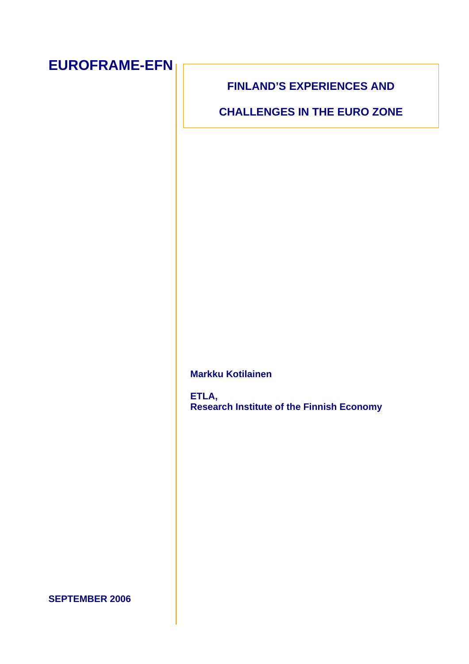## **EUROFRAME-EFN**

#### **FINLAND'S EXPERIENCES AND**

**CHALLENGES IN THE EURO ZONE** 

**Markku Kotilainen** 

**ETLA, Research Institute of the Finnish Economy** 

#### **SEPTEMBER 2006**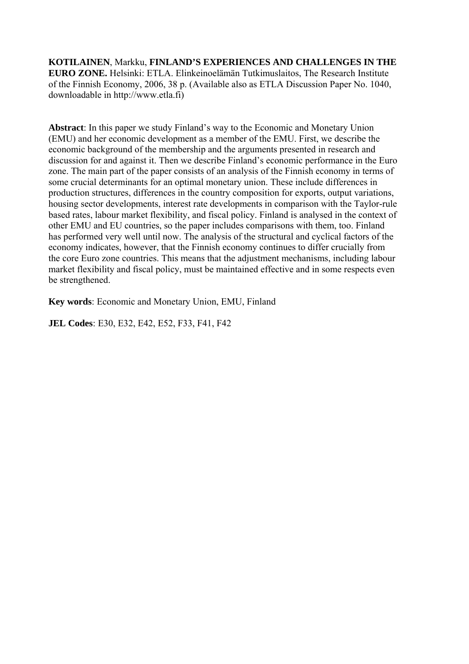**KOTILAINEN**, Markku, **FINLAND'S EXPERIENCES AND CHALLENGES IN THE EURO ZONE.** Helsinki: ETLA. Elinkeinoelämän Tutkimuslaitos, The Research Institute of the Finnish Economy, 2006, 38 p. (Available also as ETLA Discussion Paper No. 1040, downloadable in http://www.etla.fi)

**Abstract**: In this paper we study Finland's way to the Economic and Monetary Union (EMU) and her economic development as a member of the EMU. First, we describe the economic background of the membership and the arguments presented in research and discussion for and against it. Then we describe Finland's economic performance in the Euro zone. The main part of the paper consists of an analysis of the Finnish economy in terms of some crucial determinants for an optimal monetary union. These include differences in production structures, differences in the country composition for exports, output variations, housing sector developments, interest rate developments in comparison with the Taylor-rule based rates, labour market flexibility, and fiscal policy. Finland is analysed in the context of other EMU and EU countries, so the paper includes comparisons with them, too. Finland has performed very well until now. The analysis of the structural and cyclical factors of the economy indicates, however, that the Finnish economy continues to differ crucially from the core Euro zone countries. This means that the adjustment mechanisms, including labour market flexibility and fiscal policy, must be maintained effective and in some respects even be strengthened.

**Key words**: Economic and Monetary Union, EMU, Finland

**JEL Codes**: E30, E32, E42, E52, F33, F41, F42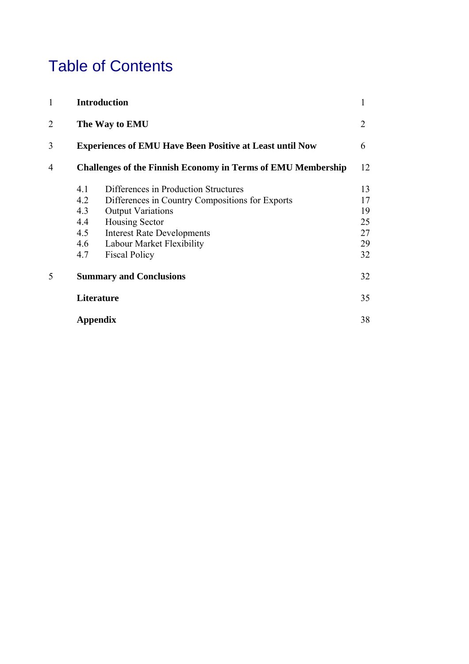## Table of Contents

| $\mathbf{1}$   |                                | <b>Introduction</b>                                                 | 1  |  |  |  |
|----------------|--------------------------------|---------------------------------------------------------------------|----|--|--|--|
| $\overline{2}$ | The Way to EMU                 |                                                                     |    |  |  |  |
| 3              |                                | <b>Experiences of EMU Have Been Positive at Least until Now</b>     | 6  |  |  |  |
| 4              |                                | <b>Challenges of the Finnish Economy in Terms of EMU Membership</b> | 12 |  |  |  |
|                | 4.1                            | Differences in Production Structures                                | 13 |  |  |  |
|                | 4.2                            | Differences in Country Compositions for Exports                     | 17 |  |  |  |
|                | 4.3                            | <b>Output Variations</b>                                            | 19 |  |  |  |
|                | 4.4                            | Housing Sector                                                      | 25 |  |  |  |
|                | 4.5                            | <b>Interest Rate Developments</b>                                   | 27 |  |  |  |
|                | 4.6                            | Labour Market Flexibility                                           | 29 |  |  |  |
|                | 4.7                            | <b>Fiscal Policy</b>                                                | 32 |  |  |  |
| 5              | <b>Summary and Conclusions</b> |                                                                     |    |  |  |  |
|                | <b>Literature</b>              |                                                                     |    |  |  |  |
|                |                                | Appendix                                                            | 38 |  |  |  |
|                |                                |                                                                     |    |  |  |  |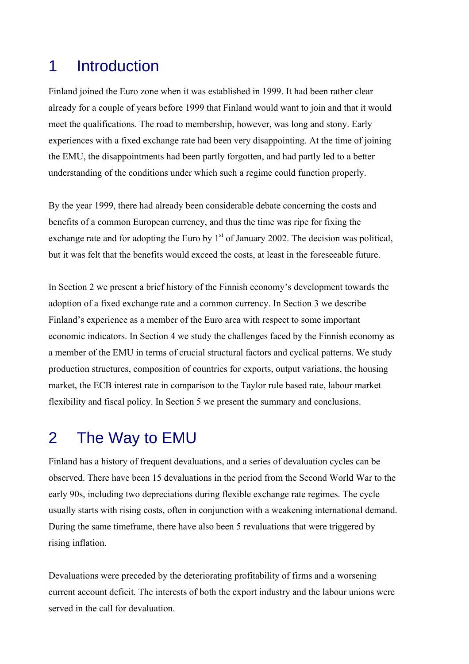## 1 Introduction

Finland joined the Euro zone when it was established in 1999. It had been rather clear already for a couple of years before 1999 that Finland would want to join and that it would meet the qualifications. The road to membership, however, was long and stony. Early experiences with a fixed exchange rate had been very disappointing. At the time of joining the EMU, the disappointments had been partly forgotten, and had partly led to a better understanding of the conditions under which such a regime could function properly.

By the year 1999, there had already been considerable debate concerning the costs and benefits of a common European currency, and thus the time was ripe for fixing the exchange rate and for adopting the Euro by  $1<sup>st</sup>$  of January 2002. The decision was political, but it was felt that the benefits would exceed the costs, at least in the foreseeable future.

In Section 2 we present a brief history of the Finnish economy's development towards the adoption of a fixed exchange rate and a common currency. In Section 3 we describe Finland's experience as a member of the Euro area with respect to some important economic indicators. In Section 4 we study the challenges faced by the Finnish economy as a member of the EMU in terms of crucial structural factors and cyclical patterns. We study production structures, composition of countries for exports, output variations, the housing market, the ECB interest rate in comparison to the Taylor rule based rate, labour market flexibility and fiscal policy. In Section 5 we present the summary and conclusions.

## 2 The Way to EMU

Finland has a history of frequent devaluations, and a series of devaluation cycles can be observed. There have been 15 devaluations in the period from the Second World War to the early 90s, including two depreciations during flexible exchange rate regimes. The cycle usually starts with rising costs, often in conjunction with a weakening international demand. During the same timeframe, there have also been 5 revaluations that were triggered by rising inflation.

Devaluations were preceded by the deteriorating profitability of firms and a worsening current account deficit. The interests of both the export industry and the labour unions were served in the call for devaluation.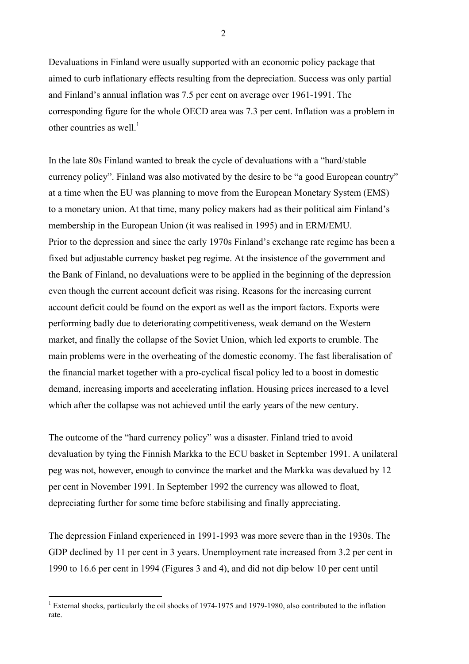Devaluations in Finland were usually supported with an economic policy package that aimed to curb inflationary effects resulting from the depreciation. Success was only partial and Finland's annual inflation was 7.5 per cent on average over 1961-1991. The corresponding figure for the whole OECD area was 7.3 per cent. Inflation was a problem in other countries as well.<sup>[1](#page-4-0)</sup>

In the late 80s Finland wanted to break the cycle of devaluations with a "hard/stable currency policy". Finland was also motivated by the desire to be "a good European country" at a time when the EU was planning to move from the European Monetary System (EMS) to a monetary union. At that time, many policy makers had as their political aim Finland's membership in the European Union (it was realised in 1995) and in ERM/EMU. Prior to the depression and since the early 1970s Finland's exchange rate regime has been a fixed but adjustable currency basket peg regime. At the insistence of the government and the Bank of Finland, no devaluations were to be applied in the beginning of the depression even though the current account deficit was rising. Reasons for the increasing current account deficit could be found on the export as well as the import factors. Exports were performing badly due to deteriorating competitiveness, weak demand on the Western market, and finally the collapse of the Soviet Union, which led exports to crumble. The main problems were in the overheating of the domestic economy. The fast liberalisation of the financial market together with a pro-cyclical fiscal policy led to a boost in domestic demand, increasing imports and accelerating inflation. Housing prices increased to a level which after the collapse was not achieved until the early years of the new century.

The outcome of the "hard currency policy" was a disaster. Finland tried to avoid devaluation by tying the Finnish Markka to the ECU basket in September 1991. A unilateral peg was not, however, enough to convince the market and the Markka was devalued by 12 per cent in November 1991. In September 1992 the currency was allowed to float, depreciating further for some time before stabilising and finally appreciating.

The depression Finland experienced in 1991-1993 was more severe than in the 1930s. The GDP declined by 11 per cent in 3 years. Unemployment rate increased from 3.2 per cent in 1990 to 16.6 per cent in 1994 (Figures 3 and 4), and did not dip below 10 per cent until

 $\overline{a}$ 

<span id="page-4-0"></span><sup>&</sup>lt;sup>1</sup> External shocks, particularly the oil shocks of 1974-1975 and 1979-1980, also contributed to the inflation rate.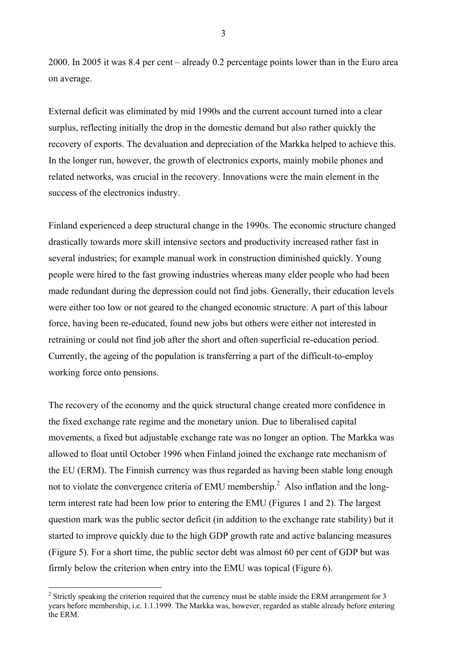2000. In 2005 it was 8.4 per cent – already 0.2 percentage points lower than in the Euro area on average.

External deficit was eliminated by mid 1990s and the current account turned into a clear surplus, reflecting initially the drop in the domestic demand but also rather quickly the recovery of exports. The devaluation and depreciation of the Markka helped to achieve this. In the longer run, however, the growth of electronics exports, mainly mobile phones and related networks, was crucial in the recovery. Innovations were the main element in the success of the electronics industry.

Finland experienced a deep structural change in the 1990s. The economic structure changed drastically towards more skill intensive sectors and productivity increased rather fast in several industries; for example manual work in construction diminished quickly. Young people were hired to the fast growing industries whereas many elder people who had been made redundant during the depression could not find jobs. Generally, their education levels were either too low or not geared to the changed economic structure. A part of this labour force, having been re-educated, found new jobs but others were either not interested in retraining or could not find job after the short and often superficial re-education period. Currently, the ageing of the population is transferring a part of the difficult-to-employ working force onto pensions.

The recovery of the economy and the quick structural change created more confidence in the fixed exchange rate regime and the monetary union. Due to liberalised capital movements, a fixed but adjustable exchange rate was no longer an option. The Markka was allowed to float until October 1996 when Finland joined the exchange rate mechanism of the EU (ERM). The Finnish currency was thus regarded as having been stable long enough not to violate the convergence criteria of EMU membership.<sup>2</sup> Also inflation and the longterm interest rate had been low prior to entering the EMU (Figures 1 and 2). The largest question mark was the public sector deficit (in addition to the exchange rate stability) but it started to improve quickly due to the high GDP growth rate and active balancing measures (Figure 5). For a short time, the public sector debt was almost 60 per cent of GDP but was firmly below the criterion when entry into the EMU was topical (Figure 6).

 $\overline{a}$ 

3

<span id="page-5-0"></span> $2^2$  Strictly speaking the criterion required that the currency must be stable inside the ERM arrangement for 3 years before membership, i.e. 1.1.1999. The Markka was, however, regarded as stable already before entering the ERM.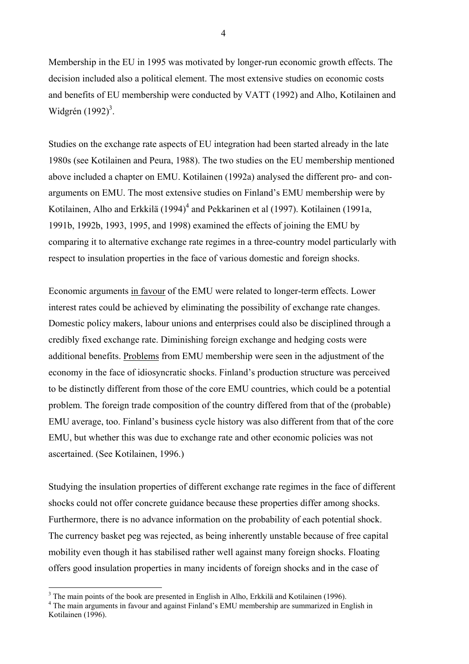Membership in the EU in 1995 was motivated by longer-run economic growth effects. The decision included also a political element. The most extensive studies on economic costs and benefits of EU membership were conducted by VATT (1992) and Alho, Kotilainen and Widgrén  $(1992)^3$  $(1992)^3$ .

Studies on the exchange rate aspects of EU integration had been started already in the late 1980s (see Kotilainen and Peura, 1988). The two studies on the EU membership mentioned above included a chapter on EMU. Kotilainen (1992a) analysed the different pro- and conarguments on EMU. The most extensive studies on Finland's EMU membership were by Kotilainen, Alho and Erkkilä (199[4](#page-6-1))<sup>4</sup> and Pekkarinen et al (1997). Kotilainen (1991a, 1991b, 1992b, 1993, 1995, and 1998) examined the effects of joining the EMU by comparing it to alternative exchange rate regimes in a three-country model particularly with respect to insulation properties in the face of various domestic and foreign shocks.

Economic arguments in favour of the EMU were related to longer-term effects. Lower interest rates could be achieved by eliminating the possibility of exchange rate changes. Domestic policy makers, labour unions and enterprises could also be disciplined through a credibly fixed exchange rate. Diminishing foreign exchange and hedging costs were additional benefits. Problems from EMU membership were seen in the adjustment of the economy in the face of idiosyncratic shocks. Finland's production structure was perceived to be distinctly different from those of the core EMU countries, which could be a potential problem. The foreign trade composition of the country differed from that of the (probable) EMU average, too. Finland's business cycle history was also different from that of the core EMU, but whether this was due to exchange rate and other economic policies was not ascertained. (See Kotilainen, 1996.)

Studying the insulation properties of different exchange rate regimes in the face of different shocks could not offer concrete guidance because these properties differ among shocks. Furthermore, there is no advance information on the probability of each potential shock. The currency basket peg was rejected, as being inherently unstable because of free capital mobility even though it has stabilised rather well against many foreign shocks. Floating offers good insulation properties in many incidents of foreign shocks and in the case of

 $\overline{a}$ 

4

<span id="page-6-0"></span><sup>&</sup>lt;sup>3</sup> The main points of the book are presented in English in Alho, Erkkilä and Kotilainen (1996).

<span id="page-6-1"></span><sup>&</sup>lt;sup>4</sup> The main arguments in favour and against Finland's EMU membership are summarized in English in Kotilainen (1996).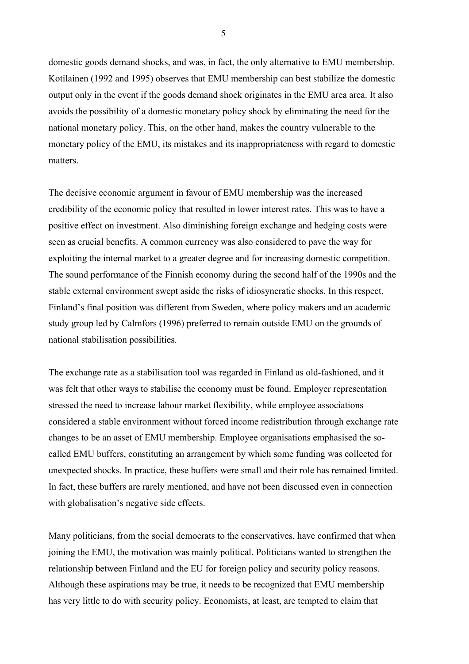domestic goods demand shocks, and was, in fact, the only alternative to EMU membership. Kotilainen (1992 and 1995) observes that EMU membership can best stabilize the domestic output only in the event if the goods demand shock originates in the EMU area area. It also avoids the possibility of a domestic monetary policy shock by eliminating the need for the national monetary policy. This, on the other hand, makes the country vulnerable to the monetary policy of the EMU, its mistakes and its inappropriateness with regard to domestic matters.

The decisive economic argument in favour of EMU membership was the increased credibility of the economic policy that resulted in lower interest rates. This was to have a positive effect on investment. Also diminishing foreign exchange and hedging costs were seen as crucial benefits. A common currency was also considered to pave the way for exploiting the internal market to a greater degree and for increasing domestic competition. The sound performance of the Finnish economy during the second half of the 1990s and the stable external environment swept aside the risks of idiosyncratic shocks. In this respect, Finland's final position was different from Sweden, where policy makers and an academic study group led by Calmfors (1996) preferred to remain outside EMU on the grounds of national stabilisation possibilities.

The exchange rate as a stabilisation tool was regarded in Finland as old-fashioned, and it was felt that other ways to stabilise the economy must be found. Employer representation stressed the need to increase labour market flexibility, while employee associations considered a stable environment without forced income redistribution through exchange rate changes to be an asset of EMU membership. Employee organisations emphasised the socalled EMU buffers, constituting an arrangement by which some funding was collected for unexpected shocks. In practice, these buffers were small and their role has remained limited. In fact, these buffers are rarely mentioned, and have not been discussed even in connection with globalisation's negative side effects.

Many politicians, from the social democrats to the conservatives, have confirmed that when joining the EMU, the motivation was mainly political. Politicians wanted to strengthen the relationship between Finland and the EU for foreign policy and security policy reasons. Although these aspirations may be true, it needs to be recognized that EMU membership has very little to do with security policy. Economists, at least, are tempted to claim that

5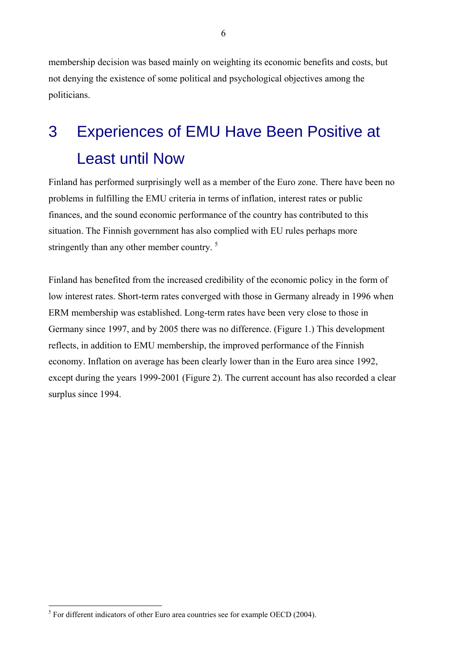membership decision was based mainly on weighting its economic benefits and costs, but not denying the existence of some political and psychological objectives among the politicians.

# 3 Experiences of EMU Have Been Positive at Least until Now

Finland has performed surprisingly well as a member of the Euro zone. There have been no problems in fulfilling the EMU criteria in terms of inflation, interest rates or public finances, and the sound economic performance of the country has contributed to this situation. The Finnish government has also complied with EU rules perhaps more stringently than any other member country.<sup>5</sup>

Finland has benefited from the increased credibility of the economic policy in the form of low interest rates. Short-term rates converged with those in Germany already in 1996 when ERM membership was established. Long-term rates have been very close to those in Germany since 1997, and by 2005 there was no difference. (Figure 1.) This development reflects, in addition to EMU membership, the improved performance of the Finnish economy. Inflation on average has been clearly lower than in the Euro area since 1992, except during the years 1999-2001 (Figure 2). The current account has also recorded a clear surplus since 1994.

 $\overline{a}$ 

<span id="page-8-0"></span> $<sup>5</sup>$  For different indicators of other Euro area countries see for example OECD (2004).</sup>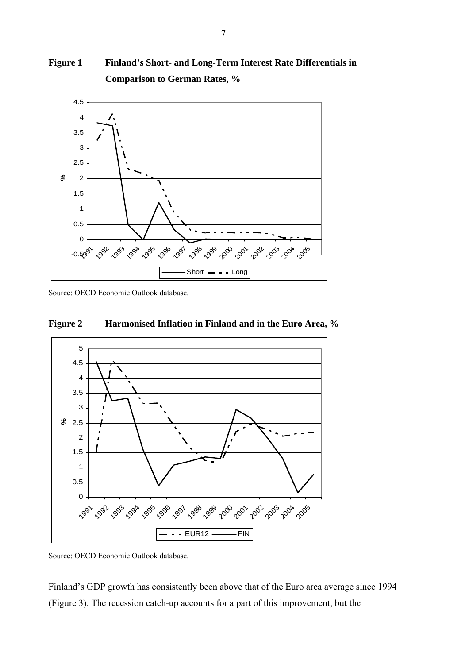### **Figure 1 Finland's Short- and Long-Term Interest Rate Differentials in Comparison to German Rates, %**



Source: OECD Economic Outlook database.





Source: OECD Economic Outlook database.

Finland's GDP growth has consistently been above that of the Euro area average since 1994 (Figure 3). The recession catch-up accounts for a part of this improvement, but the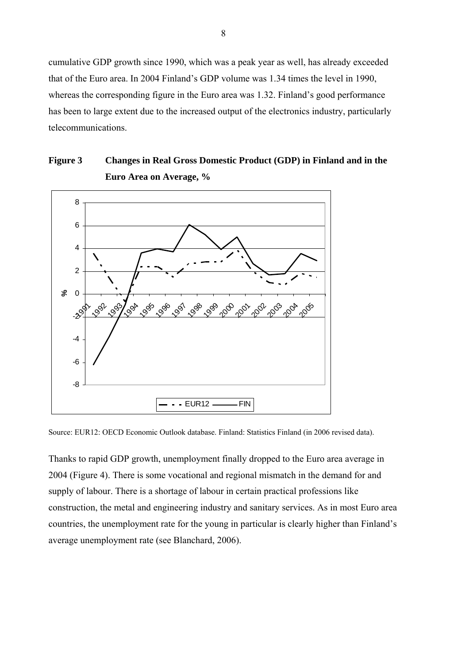cumulative GDP growth since 1990, which was a peak year as well, has already exceeded that of the Euro area. In 2004 Finland's GDP volume was 1.34 times the level in 1990, whereas the corresponding figure in the Euro area was 1.32. Finland's good performance has been to large extent due to the increased output of the electronics industry, particularly telecommunications.

#### **Figure 3 Changes in Real Gross Domestic Product (GDP) in Finland and in the Euro Area on Average, %**



Source: EUR12: OECD Economic Outlook database. Finland: Statistics Finland (in 2006 revised data).

Thanks to rapid GDP growth, unemployment finally dropped to the Euro area average in 2004 (Figure 4). There is some vocational and regional mismatch in the demand for and supply of labour. There is a shortage of labour in certain practical professions like construction, the metal and engineering industry and sanitary services. As in most Euro area countries, the unemployment rate for the young in particular is clearly higher than Finland's average unemployment rate (see Blanchard, 2006).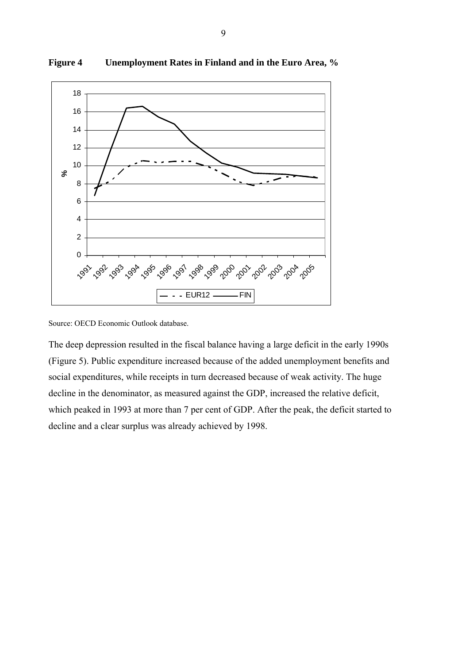

**Figure 4 Unemployment Rates in Finland and in the Euro Area, %**

Source: OECD Economic Outlook database.

The deep depression resulted in the fiscal balance having a large deficit in the early 1990s (Figure 5). Public expenditure increased because of the added unemployment benefits and social expenditures, while receipts in turn decreased because of weak activity. The huge decline in the denominator, as measured against the GDP, increased the relative deficit, which peaked in 1993 at more than 7 per cent of GDP. After the peak, the deficit started to decline and a clear surplus was already achieved by 1998.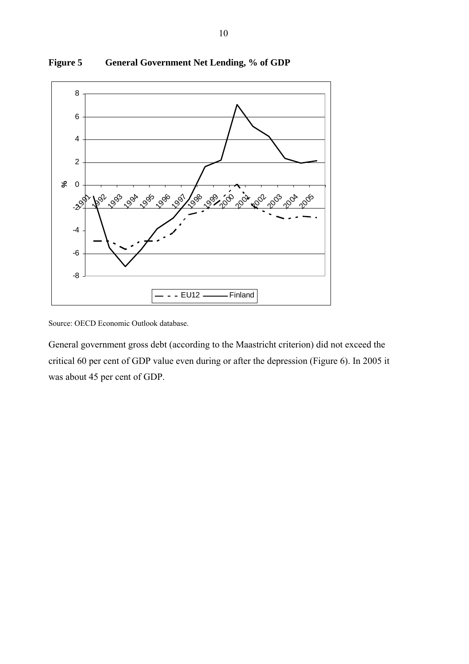

**Figure 5 General Government Net Lending, % of GDP** 

Source: OECD Economic Outlook database.

General government gross debt (according to the Maastricht criterion) did not exceed the critical 60 per cent of GDP value even during or after the depression (Figure 6). In 2005 it was about 45 per cent of GDP.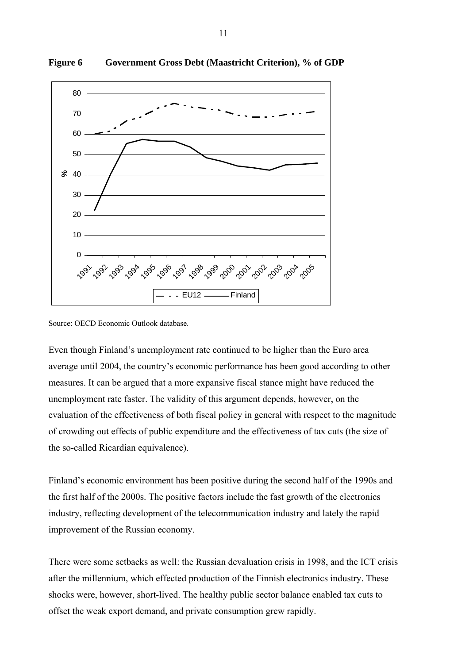

#### **Figure 6 Government Gross Debt (Maastricht Criterion), % of GDP**

Source: OECD Economic Outlook database.

Even though Finland's unemployment rate continued to be higher than the Euro area average until 2004, the country's economic performance has been good according to other measures. It can be argued that a more expansive fiscal stance might have reduced the unemployment rate faster. The validity of this argument depends, however, on the evaluation of the effectiveness of both fiscal policy in general with respect to the magnitude of crowding out effects of public expenditure and the effectiveness of tax cuts (the size of the so-called Ricardian equivalence).

Finland's economic environment has been positive during the second half of the 1990s and the first half of the 2000s. The positive factors include the fast growth of the electronics industry, reflecting development of the telecommunication industry and lately the rapid improvement of the Russian economy.

There were some setbacks as well: the Russian devaluation crisis in 1998, and the ICT crisis after the millennium, which effected production of the Finnish electronics industry. These shocks were, however, short-lived. The healthy public sector balance enabled tax cuts to offset the weak export demand, and private consumption grew rapidly.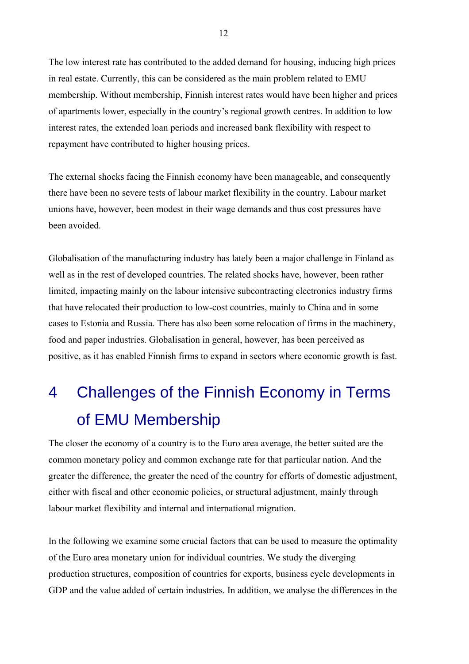The low interest rate has contributed to the added demand for housing, inducing high prices in real estate. Currently, this can be considered as the main problem related to EMU membership. Without membership, Finnish interest rates would have been higher and prices of apartments lower, especially in the country's regional growth centres. In addition to low interest rates, the extended loan periods and increased bank flexibility with respect to repayment have contributed to higher housing prices.

The external shocks facing the Finnish economy have been manageable, and consequently there have been no severe tests of labour market flexibility in the country. Labour market unions have, however, been modest in their wage demands and thus cost pressures have been avoided.

Globalisation of the manufacturing industry has lately been a major challenge in Finland as well as in the rest of developed countries. The related shocks have, however, been rather limited, impacting mainly on the labour intensive subcontracting electronics industry firms that have relocated their production to low-cost countries, mainly to China and in some cases to Estonia and Russia. There has also been some relocation of firms in the machinery, food and paper industries. Globalisation in general, however, has been perceived as positive, as it has enabled Finnish firms to expand in sectors where economic growth is fast.

# 4 Challenges of the Finnish Economy in Terms of EMU Membership

The closer the economy of a country is to the Euro area average, the better suited are the common monetary policy and common exchange rate for that particular nation. And the greater the difference, the greater the need of the country for efforts of domestic adjustment, either with fiscal and other economic policies, or structural adjustment, mainly through labour market flexibility and internal and international migration.

In the following we examine some crucial factors that can be used to measure the optimality of the Euro area monetary union for individual countries. We study the diverging production structures, composition of countries for exports, business cycle developments in GDP and the value added of certain industries. In addition, we analyse the differences in the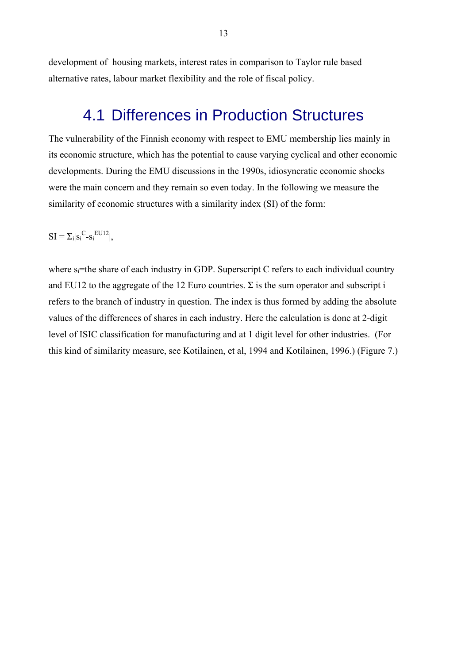development of housing markets, interest rates in comparison to Taylor rule based alternative rates, labour market flexibility and the role of fiscal policy.

## 4.1 Differences in Production Structures

The vulnerability of the Finnish economy with respect to EMU membership lies mainly in its economic structure, which has the potential to cause varying cyclical and other economic developments. During the EMU discussions in the 1990s, idiosyncratic economic shocks were the main concern and they remain so even today. In the following we measure the similarity of economic structures with a similarity index (SI) of the form:

 $SI = \sum_{i} |s_i^C - s_i^{\text{EUI2}}|,$ 

where  $s_i$ =the share of each industry in GDP. Superscript C refers to each individual country and EU12 to the aggregate of the 12 Euro countries.  $\Sigma$  is the sum operator and subscript i refers to the branch of industry in question. The index is thus formed by adding the absolute values of the differences of shares in each industry. Here the calculation is done at 2-digit level of ISIC classification for manufacturing and at 1 digit level for other industries. (For this kind of similarity measure, see Kotilainen, et al, 1994 and Kotilainen, 1996.) (Figure 7.)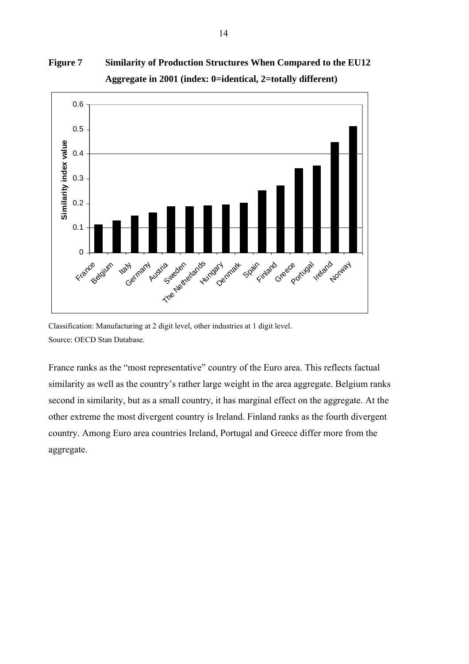



Classification: Manufacturing at 2 digit level, other industries at 1 digit level. Source: OECD Stan Database.

France ranks as the "most representative" country of the Euro area. This reflects factual similarity as well as the country's rather large weight in the area aggregate. Belgium ranks second in similarity, but as a small country, it has marginal effect on the aggregate. At the other extreme the most divergent country is Ireland. Finland ranks as the fourth divergent country. Among Euro area countries Ireland, Portugal and Greece differ more from the aggregate.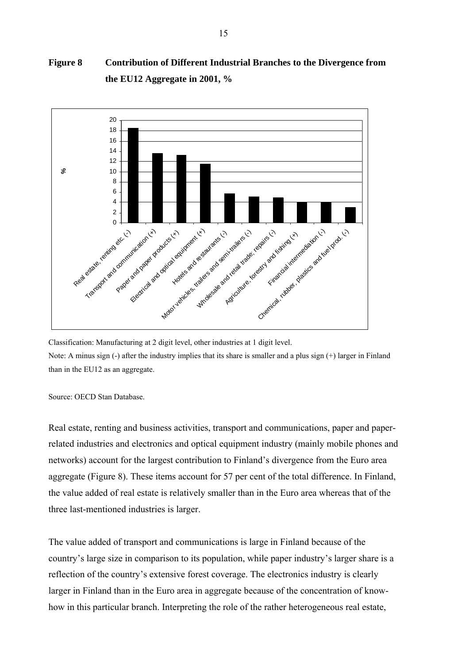#### **Figure 8 Contribution of Different Industrial Branches to the Divergence from the EU12 Aggregate in 2001, %**



Classification: Manufacturing at 2 digit level, other industries at 1 digit level. Note: A minus sign (-) after the industry implies that its share is smaller and a plus sign (+) larger in Finland than in the EU12 as an aggregate.

Source: OECD Stan Database.

Real estate, renting and business activities, transport and communications, paper and paperrelated industries and electronics and optical equipment industry (mainly mobile phones and networks) account for the largest contribution to Finland's divergence from the Euro area aggregate (Figure 8). These items account for 57 per cent of the total difference. In Finland, the value added of real estate is relatively smaller than in the Euro area whereas that of the three last-mentioned industries is larger.

The value added of transport and communications is large in Finland because of the country's large size in comparison to its population, while paper industry's larger share is a reflection of the country's extensive forest coverage. The electronics industry is clearly larger in Finland than in the Euro area in aggregate because of the concentration of knowhow in this particular branch. Interpreting the role of the rather heterogeneous real estate,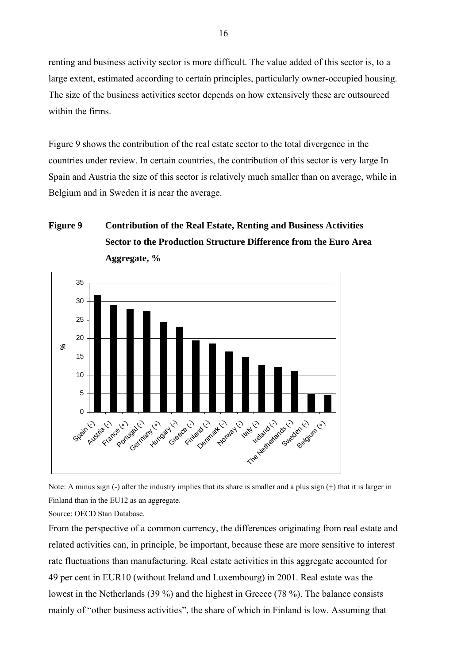renting and business activity sector is more difficult. The value added of this sector is, to a large extent, estimated according to certain principles, particularly owner-occupied housing. The size of the business activities sector depends on how extensively these are outsourced within the firms.

Figure 9 shows the contribution of the real estate sector to the total divergence in the countries under review. In certain countries, the contribution of this sector is very large In Spain and Austria the size of this sector is relatively much smaller than on average, while in Belgium and in Sweden it is near the average.

#### **Figure 9 Contribution of the Real Estate, Renting and Business Activities Sector to the Production Structure Difference from the Euro Area Aggregate, %**



Note: A minus sign (-) after the industry implies that its share is smaller and a plus sign (+) that it is larger in Finland than in the EU12 as an aggregate.

Source: OECD Stan Database.

From the perspective of a common currency, the differences originating from real estate and related activities can, in principle, be important, because these are more sensitive to interest rate fluctuations than manufacturing. Real estate activities in this aggregate accounted for 49 per cent in EUR10 (without Ireland and Luxembourg) in 2001. Real estate was the lowest in the Netherlands (39 %) and the highest in Greece (78 %). The balance consists mainly of "other business activities", the share of which in Finland is low. Assuming that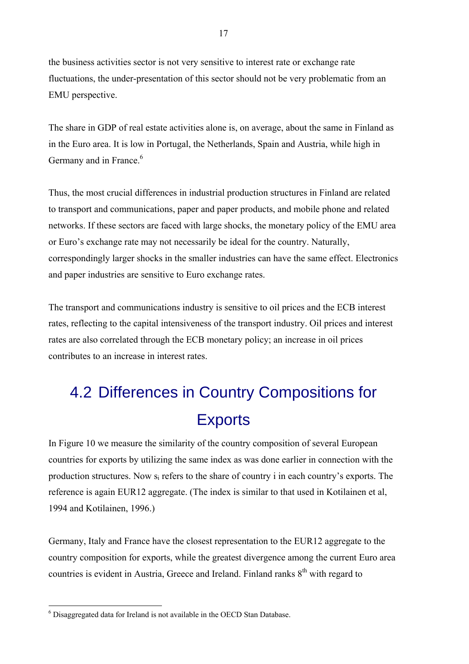the business activities sector is not very sensitive to interest rate or exchange rate fluctuations, the under-presentation of this sector should not be very problematic from an EMU perspective.

The share in GDP of real estate activities alone is, on average, about the same in Finland as in the Euro area. It is low in Portugal, the Netherlands, Spain and Austria, while high in Germany and in France.<sup>[6](#page-19-0)</sup>

Thus, the most crucial differences in industrial production structures in Finland are related to transport and communications, paper and paper products, and mobile phone and related networks. If these sectors are faced with large shocks, the monetary policy of the EMU area or Euro's exchange rate may not necessarily be ideal for the country. Naturally, correspondingly larger shocks in the smaller industries can have the same effect. Electronics and paper industries are sensitive to Euro exchange rates.

The transport and communications industry is sensitive to oil prices and the ECB interest rates, reflecting to the capital intensiveness of the transport industry. Oil prices and interest rates are also correlated through the ECB monetary policy; an increase in oil prices contributes to an increase in interest rates.

# 4.2 Differences in Country Compositions for **Exports**

In Figure 10 we measure the similarity of the country composition of several European countries for exports by utilizing the same index as was done earlier in connection with the production structures. Now si refers to the share of country i in each country's exports. The reference is again EUR12 aggregate. (The index is similar to that used in Kotilainen et al, 1994 and Kotilainen, 1996.)

Germany, Italy and France have the closest representation to the EUR12 aggregate to the country composition for exports, while the greatest divergence among the current Euro area countries is evident in Austria, Greece and Ireland. Finland ranks  $8<sup>th</sup>$  with regard to

 $\overline{a}$ 

<span id="page-19-0"></span><sup>&</sup>lt;sup>6</sup> Disaggregated data for Ireland is not available in the OECD Stan Database.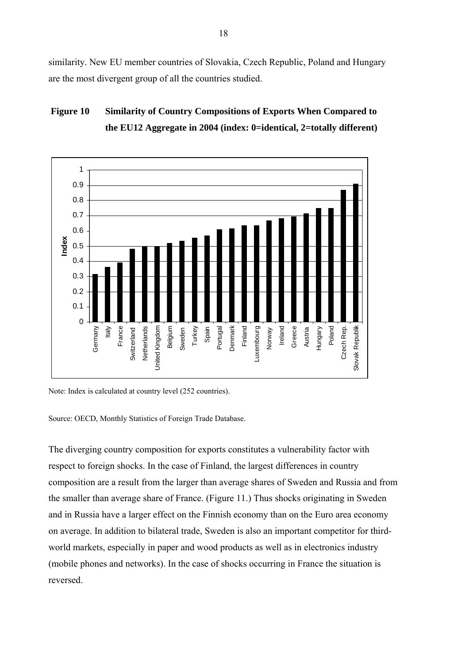similarity. New EU member countries of Slovakia, Czech Republic, Poland and Hungary are the most divergent group of all the countries studied.

#### **Figure 10 Similarity of Country Compositions of Exports When Compared to the EU12 Aggregate in 2004 (index: 0=identical, 2=totally different)**



Note: Index is calculated at country level (252 countries).

Source: OECD, Monthly Statistics of Foreign Trade Database.

The diverging country composition for exports constitutes a vulnerability factor with respect to foreign shocks. In the case of Finland, the largest differences in country composition are a result from the larger than average shares of Sweden and Russia and from the smaller than average share of France. (Figure 11.) Thus shocks originating in Sweden and in Russia have a larger effect on the Finnish economy than on the Euro area economy on average. In addition to bilateral trade, Sweden is also an important competitor for thirdworld markets, especially in paper and wood products as well as in electronics industry (mobile phones and networks). In the case of shocks occurring in France the situation is reversed.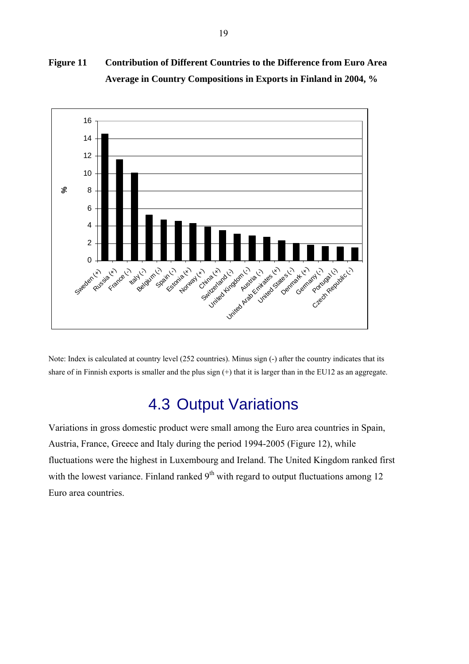#### **Figure 11 Contribution of Different Countries to the Difference from Euro Area Average in Country Compositions in Exports in Finland in 2004, %**



Note: Index is calculated at country level (252 countries). Minus sign (-) after the country indicates that its share of in Finnish exports is smaller and the plus sign (+) that it is larger than in the EU12 as an aggregate.

## 4.3 Output Variations

Variations in gross domestic product were small among the Euro area countries in Spain, Austria, France, Greece and Italy during the period 1994-2005 (Figure 12), while fluctuations were the highest in Luxembourg and Ireland. The United Kingdom ranked first with the lowest variance. Finland ranked  $9<sup>th</sup>$  with regard to output fluctuations among 12 Euro area countries.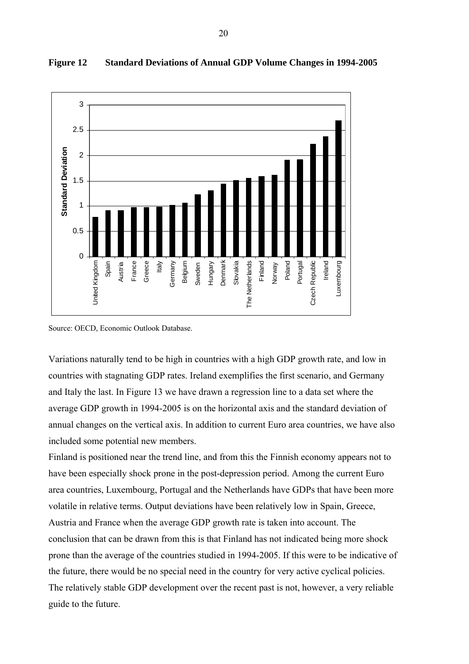

#### **Figure 12 Standard Deviations of Annual GDP Volume Changes in 1994-2005**

Source: OECD, Economic Outlook Database.

Variations naturally tend to be high in countries with a high GDP growth rate, and low in countries with stagnating GDP rates. Ireland exemplifies the first scenario, and Germany and Italy the last. In Figure 13 we have drawn a regression line to a data set where the average GDP growth in 1994-2005 is on the horizontal axis and the standard deviation of annual changes on the vertical axis. In addition to current Euro area countries, we have also included some potential new members.

Finland is positioned near the trend line, and from this the Finnish economy appears not to have been especially shock prone in the post-depression period. Among the current Euro area countries, Luxembourg, Portugal and the Netherlands have GDPs that have been more volatile in relative terms. Output deviations have been relatively low in Spain, Greece, Austria and France when the average GDP growth rate is taken into account. The conclusion that can be drawn from this is that Finland has not indicated being more shock prone than the average of the countries studied in 1994-2005. If this were to be indicative of the future, there would be no special need in the country for very active cyclical policies. The relatively stable GDP development over the recent past is not, however, a very reliable guide to the future.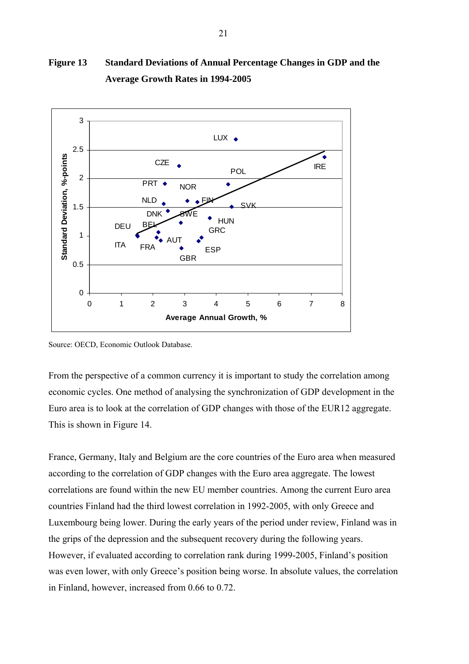

### **Figure 13 Standard Deviations of Annual Percentage Changes in GDP and the Average Growth Rates in 1994-2005**

Source: OECD, Economic Outlook Database.

From the perspective of a common currency it is important to study the correlation among economic cycles. One method of analysing the synchronization of GDP development in the Euro area is to look at the correlation of GDP changes with those of the EUR12 aggregate. This is shown in Figure 14.

France, Germany, Italy and Belgium are the core countries of the Euro area when measured according to the correlation of GDP changes with the Euro area aggregate. The lowest correlations are found within the new EU member countries. Among the current Euro area countries Finland had the third lowest correlation in 1992-2005, with only Greece and Luxembourg being lower. During the early years of the period under review, Finland was in the grips of the depression and the subsequent recovery during the following years. However, if evaluated according to correlation rank during 1999-2005, Finland's position was even lower, with only Greece's position being worse. In absolute values, the correlation in Finland, however, increased from 0.66 to 0.72.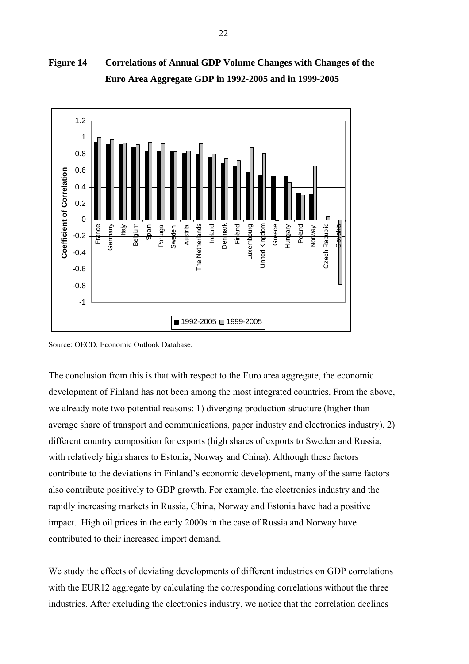

**Figure 14 Correlations of Annual GDP Volume Changes with Changes of the Euro Area Aggregate GDP in 1992-2005 and in 1999-2005** 

Source: OECD, Economic Outlook Database.

The conclusion from this is that with respect to the Euro area aggregate, the economic development of Finland has not been among the most integrated countries. From the above, we already note two potential reasons: 1) diverging production structure (higher than average share of transport and communications, paper industry and electronics industry), 2) different country composition for exports (high shares of exports to Sweden and Russia, with relatively high shares to Estonia, Norway and China). Although these factors contribute to the deviations in Finland's economic development, many of the same factors also contribute positively to GDP growth. For example, the electronics industry and the rapidly increasing markets in Russia, China, Norway and Estonia have had a positive impact. High oil prices in the early 2000s in the case of Russia and Norway have contributed to their increased import demand.

We study the effects of deviating developments of different industries on GDP correlations with the EUR12 aggregate by calculating the corresponding correlations without the three industries. After excluding the electronics industry, we notice that the correlation declines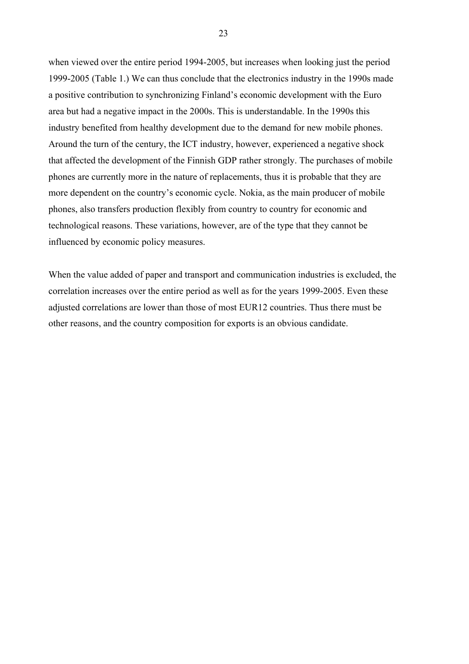when viewed over the entire period 1994-2005, but increases when looking just the period 1999-2005 (Table 1.) We can thus conclude that the electronics industry in the 1990s made a positive contribution to synchronizing Finland's economic development with the Euro area but had a negative impact in the 2000s. This is understandable. In the 1990s this industry benefited from healthy development due to the demand for new mobile phones. Around the turn of the century, the ICT industry, however, experienced a negative shock that affected the development of the Finnish GDP rather strongly. The purchases of mobile phones are currently more in the nature of replacements, thus it is probable that they are more dependent on the country's economic cycle. Nokia, as the main producer of mobile phones, also transfers production flexibly from country to country for economic and technological reasons. These variations, however, are of the type that they cannot be influenced by economic policy measures.

When the value added of paper and transport and communication industries is excluded, the correlation increases over the entire period as well as for the years 1999-2005. Even these adjusted correlations are lower than those of most EUR12 countries. Thus there must be other reasons, and the country composition for exports is an obvious candidate.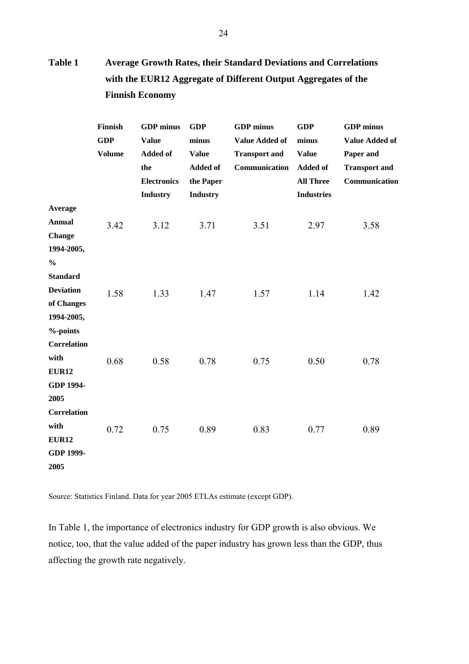### **Table 1 Average Growth Rates, their Standard Deviations and Correlations with the EUR12 Aggregate of Different Output Aggregates of the Finnish Economy**

|                                                                                  | Finnish<br><b>GDP</b><br><b>Volume</b> | <b>GDP</b> minus<br><b>Value</b><br><b>Added of</b><br>the<br><b>Electronics</b><br><b>Industry</b> | <b>GDP</b><br>minus<br><b>Value</b><br><b>Added of</b><br>the Paper<br><b>Industry</b> | <b>GDP</b> minus<br><b>Value Added of</b><br><b>Transport and</b><br>Communication | <b>GDP</b><br>minus<br><b>Value</b><br><b>Added of</b><br><b>All Three</b><br><b>Industries</b> | <b>GDP</b> minus<br><b>Value Added of</b><br>Paper and<br><b>Transport and</b><br>Communication |
|----------------------------------------------------------------------------------|----------------------------------------|-----------------------------------------------------------------------------------------------------|----------------------------------------------------------------------------------------|------------------------------------------------------------------------------------|-------------------------------------------------------------------------------------------------|-------------------------------------------------------------------------------------------------|
| <b>Average</b><br><b>Annual</b><br><b>Change</b><br>1994-2005,                   | 3.42                                   | 3.12                                                                                                | 3.71                                                                                   | 3.51                                                                               | 2.97                                                                                            | 3.58                                                                                            |
| $\frac{0}{0}$<br><b>Standard</b><br><b>Deviation</b><br>of Changes<br>1994-2005, | 1.58                                   | 1.33                                                                                                | 1.47                                                                                   | 1.57                                                                               | 1.14                                                                                            | 1.42                                                                                            |
| $%$ -points<br><b>Correlation</b><br>with<br><b>EUR12</b><br><b>GDP 1994-</b>    | 0.68                                   | 0.58                                                                                                | 0.78                                                                                   | 0.75                                                                               | 0.50                                                                                            | 0.78                                                                                            |
| 2005<br>Correlation<br>with<br><b>EUR12</b><br>GDP 1999-<br>2005                 | 0.72                                   | 0.75                                                                                                | 0.89                                                                                   | 0.83                                                                               | 0.77                                                                                            | 0.89                                                                                            |

Source: Statistics Finland. Data for year 2005 ETLAs estimate (except GDP).

In Table 1, the importance of electronics industry for GDP growth is also obvious. We notice, too, that the value added of the paper industry has grown less than the GDP, thus affecting the growth rate negatively.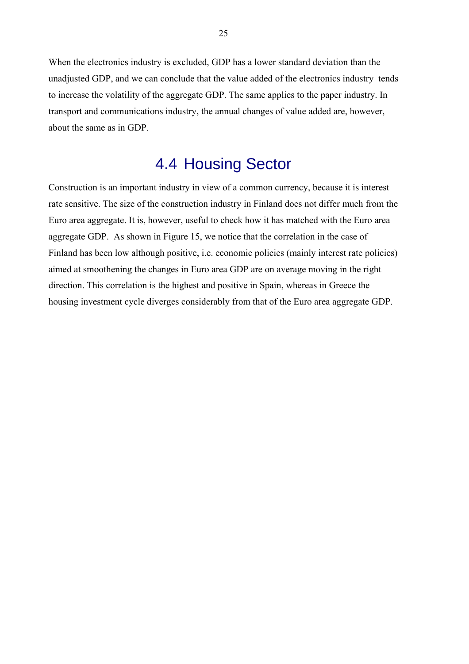When the electronics industry is excluded, GDP has a lower standard deviation than the unadjusted GDP, and we can conclude that the value added of the electronics industry tends to increase the volatility of the aggregate GDP. The same applies to the paper industry. In transport and communications industry, the annual changes of value added are, however, about the same as in GDP.

## 4.4 Housing Sector

Construction is an important industry in view of a common currency, because it is interest rate sensitive. The size of the construction industry in Finland does not differ much from the Euro area aggregate. It is, however, useful to check how it has matched with the Euro area aggregate GDP. As shown in Figure 15, we notice that the correlation in the case of Finland has been low although positive, i.e. economic policies (mainly interest rate policies) aimed at smoothening the changes in Euro area GDP are on average moving in the right direction. This correlation is the highest and positive in Spain, whereas in Greece the housing investment cycle diverges considerably from that of the Euro area aggregate GDP.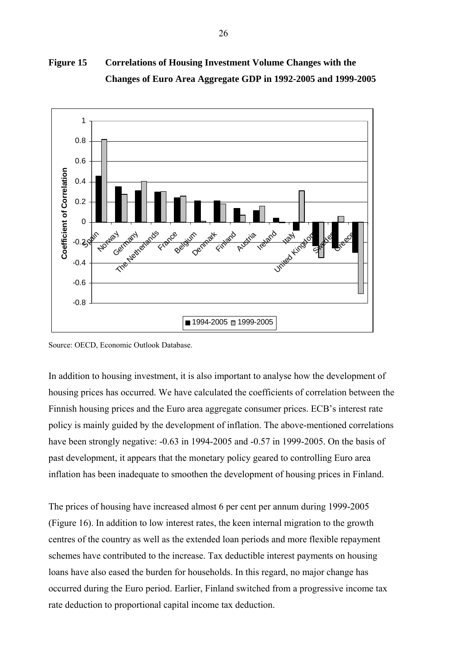

**Figure 15 Correlations of Housing Investment Volume Changes with the Changes of Euro Area Aggregate GDP in 1992-2005 and 1999-2005** 

Source: OECD, Economic Outlook Database.

In addition to housing investment, it is also important to analyse how the development of housing prices has occurred. We have calculated the coefficients of correlation between the Finnish housing prices and the Euro area aggregate consumer prices. ECB's interest rate policy is mainly guided by the development of inflation. The above-mentioned correlations have been strongly negative:  $-0.63$  in 1994-2005 and  $-0.57$  in 1999-2005. On the basis of past development, it appears that the monetary policy geared to controlling Euro area inflation has been inadequate to smoothen the development of housing prices in Finland.

The prices of housing have increased almost 6 per cent per annum during 1999-2005 (Figure 16). In addition to low interest rates, the keen internal migration to the growth centres of the country as well as the extended loan periods and more flexible repayment schemes have contributed to the increase. Tax deductible interest payments on housing loans have also eased the burden for households. In this regard, no major change has occurred during the Euro period. Earlier, Finland switched from a progressive income tax rate deduction to proportional capital income tax deduction.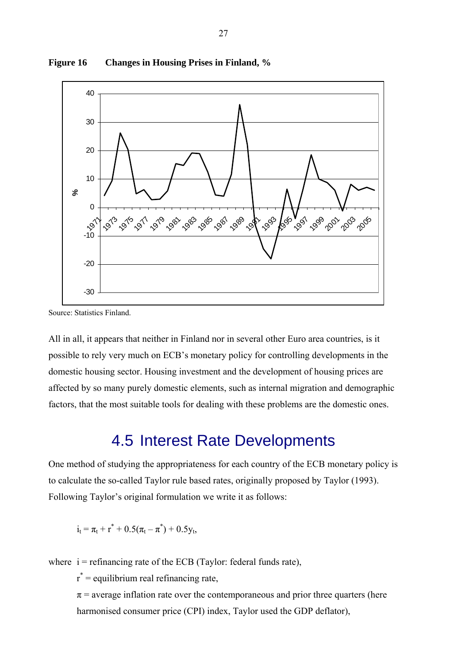

**Figure 16 Changes in Housing Prises in Finland, %**

Source: Statistics Finland.

All in all, it appears that neither in Finland nor in several other Euro area countries, is it possible to rely very much on ECB's monetary policy for controlling developments in the domestic housing sector. Housing investment and the development of housing prices are affected by so many purely domestic elements, such as internal migration and demographic factors, that the most suitable tools for dealing with these problems are the domestic ones.

## 4.5 Interest Rate Developments

One method of studying the appropriateness for each country of the ECB monetary policy is to calculate the so-called Taylor rule based rates, originally proposed by Taylor (1993). Following Taylor's original formulation we write it as follows:

$$
i_t = \pi_t + r^* + 0.5(\pi_t - \pi^*) + 0.5y_t,
$$

where  $i =$  refinancing rate of the ECB (Taylor: federal funds rate),

 $r^*$  = equilibrium real refinancing rate,

 $\pi$  = average inflation rate over the contemporaneous and prior three quarters (here harmonised consumer price (CPI) index, Taylor used the GDP deflator),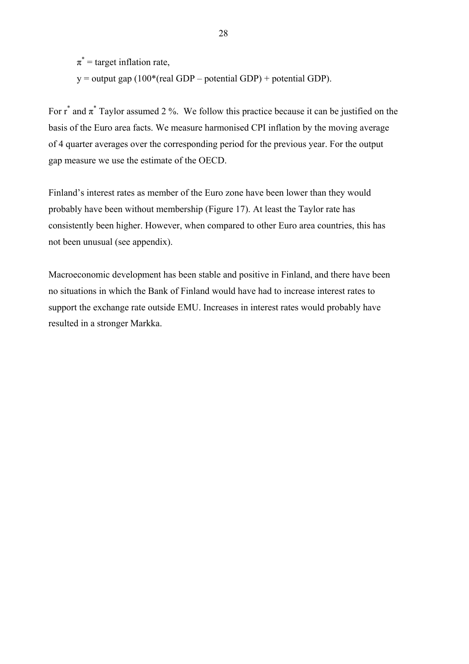$\pi^*$  = target inflation rate,  $y =$  output gap (100<sup>\*</sup>(real GDP – potential GDP) + potential GDP).

For  $r^*$  and  $\pi^*$  Taylor assumed 2 %. We follow this practice because it can be justified on the basis of the Euro area facts. We measure harmonised CPI inflation by the moving average of 4 quarter averages over the corresponding period for the previous year. For the output gap measure we use the estimate of the OECD.

Finland's interest rates as member of the Euro zone have been lower than they would probably have been without membership (Figure 17). At least the Taylor rate has consistently been higher. However, when compared to other Euro area countries, this has not been unusual (see appendix).

Macroeconomic development has been stable and positive in Finland, and there have been no situations in which the Bank of Finland would have had to increase interest rates to support the exchange rate outside EMU. Increases in interest rates would probably have resulted in a stronger Markka.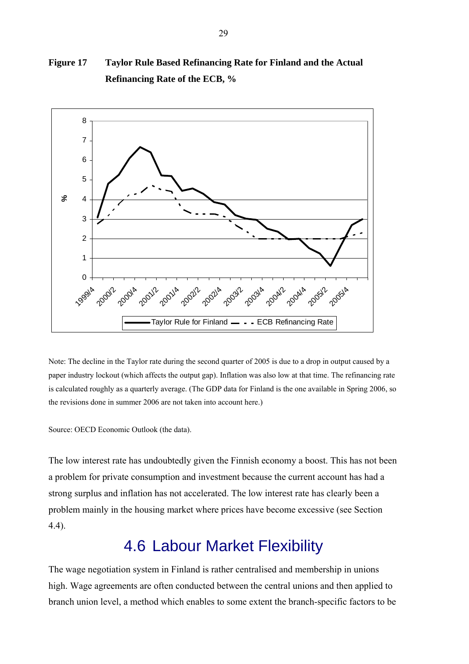

**Figure 17 Taylor Rule Based Refinancing Rate for Finland and the Actual Refinancing Rate of the ECB, %** 

Note: The decline in the Taylor rate during the second quarter of 2005 is due to a drop in output caused by a paper industry lockout (which affects the output gap). Inflation was also low at that time. The refinancing rate is calculated roughly as a quarterly average. (The GDP data for Finland is the one available in Spring 2006, so the revisions done in summer 2006 are not taken into account here.)

Source: OECD Economic Outlook (the data).

The low interest rate has undoubtedly given the Finnish economy a boost. This has not been a problem for private consumption and investment because the current account has had a strong surplus and inflation has not accelerated. The low interest rate has clearly been a problem mainly in the housing market where prices have become excessive (see Section 4.4).

## 4.6 Labour Market Flexibility

The wage negotiation system in Finland is rather centralised and membership in unions high. Wage agreements are often conducted between the central unions and then applied to branch union level, a method which enables to some extent the branch-specific factors to be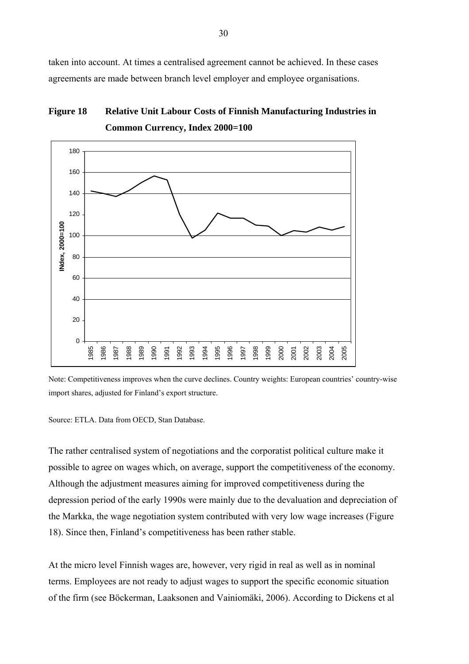taken into account. At times a centralised agreement cannot be achieved. In these cases agreements are made between branch level employer and employee organisations.

#### **Figure 18 Relative Unit Labour Costs of Finnish Manufacturing Industries in Common Currency, Index 2000=100**



Note: Competitiveness improves when the curve declines. Country weights: European countries' country-wise import shares, adjusted for Finland's export structure.

Source: ETLA. Data from OECD, Stan Database.

The rather centralised system of negotiations and the corporatist political culture make it possible to agree on wages which, on average, support the competitiveness of the economy. Although the adjustment measures aiming for improved competitiveness during the depression period of the early 1990s were mainly due to the devaluation and depreciation of the Markka, the wage negotiation system contributed with very low wage increases (Figure 18). Since then, Finland's competitiveness has been rather stable.

At the micro level Finnish wages are, however, very rigid in real as well as in nominal terms. Employees are not ready to adjust wages to support the specific economic situation of the firm (see Böckerman, Laaksonen and Vainiomäki, 2006). According to Dickens et al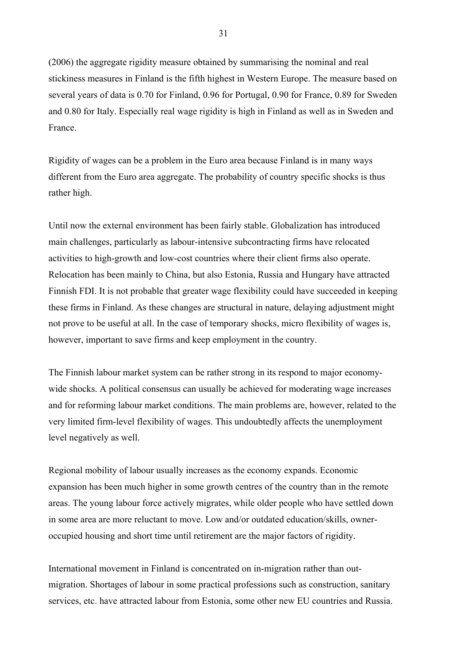(2006) the aggregate rigidity measure obtained by summarising the nominal and real stickiness measures in Finland is the fifth highest in Western Europe. The measure based on several years of data is 0.70 for Finland, 0.96 for Portugal, 0.90 for France, 0.89 for Sweden and 0.80 for Italy. Especially real wage rigidity is high in Finland as well as in Sweden and France.

Rigidity of wages can be a problem in the Euro area because Finland is in many ways different from the Euro area aggregate. The probability of country specific shocks is thus rather high.

Until now the external environment has been fairly stable. Globalization has introduced main challenges, particularly as labour-intensive subcontracting firms have relocated activities to high-growth and low-cost countries where their client firms also operate. Relocation has been mainly to China, but also Estonia, Russia and Hungary have attracted Finnish FDI. It is not probable that greater wage flexibility could have succeeded in keeping these firms in Finland. As these changes are structural in nature, delaying adjustment might not prove to be useful at all. In the case of temporary shocks, micro flexibility of wages is, however, important to save firms and keep employment in the country.

The Finnish labour market system can be rather strong in its respond to major economywide shocks. A political consensus can usually be achieved for moderating wage increases and for reforming labour market conditions. The main problems are, however, related to the very limited firm-level flexibility of wages. This undoubtedly affects the unemployment level negatively as well.

Regional mobility of labour usually increases as the economy expands. Economic expansion has been much higher in some growth centres of the country than in the remote areas. The young labour force actively migrates, while older people who have settled down in some area are more reluctant to move. Low and/or outdated education/skills, owneroccupied housing and short time until retirement are the major factors of rigidity.

International movement in Finland is concentrated on in-migration rather than outmigration. Shortages of labour in some practical professions such as construction, sanitary services, etc. have attracted labour from Estonia, some other new EU countries and Russia.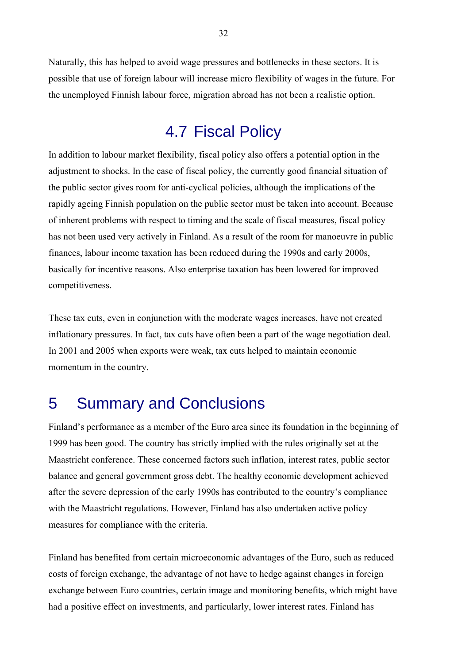Naturally, this has helped to avoid wage pressures and bottlenecks in these sectors. It is possible that use of foreign labour will increase micro flexibility of wages in the future. For the unemployed Finnish labour force, migration abroad has not been a realistic option.

## 4.7 Fiscal Policy

In addition to labour market flexibility, fiscal policy also offers a potential option in the adjustment to shocks. In the case of fiscal policy, the currently good financial situation of the public sector gives room for anti-cyclical policies, although the implications of the rapidly ageing Finnish population on the public sector must be taken into account. Because of inherent problems with respect to timing and the scale of fiscal measures, fiscal policy has not been used very actively in Finland. As a result of the room for manoeuvre in public finances, labour income taxation has been reduced during the 1990s and early 2000s, basically for incentive reasons. Also enterprise taxation has been lowered for improved competitiveness.

These tax cuts, even in conjunction with the moderate wages increases, have not created inflationary pressures. In fact, tax cuts have often been a part of the wage negotiation deal. In 2001 and 2005 when exports were weak, tax cuts helped to maintain economic momentum in the country.

## 5 Summary and Conclusions

Finland's performance as a member of the Euro area since its foundation in the beginning of 1999 has been good. The country has strictly implied with the rules originally set at the Maastricht conference. These concerned factors such inflation, interest rates, public sector balance and general government gross debt. The healthy economic development achieved after the severe depression of the early 1990s has contributed to the country's compliance with the Maastricht regulations. However, Finland has also undertaken active policy measures for compliance with the criteria.

Finland has benefited from certain microeconomic advantages of the Euro, such as reduced costs of foreign exchange, the advantage of not have to hedge against changes in foreign exchange between Euro countries, certain image and monitoring benefits, which might have had a positive effect on investments, and particularly, lower interest rates. Finland has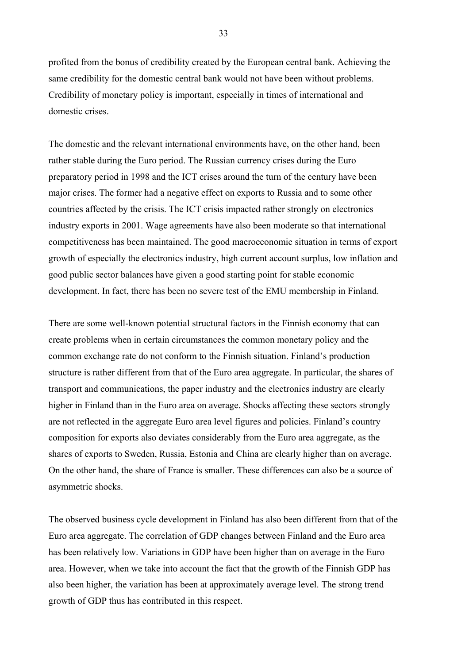profited from the bonus of credibility created by the European central bank. Achieving the same credibility for the domestic central bank would not have been without problems. Credibility of monetary policy is important, especially in times of international and domestic crises.

The domestic and the relevant international environments have, on the other hand, been rather stable during the Euro period. The Russian currency crises during the Euro preparatory period in 1998 and the ICT crises around the turn of the century have been major crises. The former had a negative effect on exports to Russia and to some other countries affected by the crisis. The ICT crisis impacted rather strongly on electronics industry exports in 2001. Wage agreements have also been moderate so that international competitiveness has been maintained. The good macroeconomic situation in terms of export growth of especially the electronics industry, high current account surplus, low inflation and good public sector balances have given a good starting point for stable economic development. In fact, there has been no severe test of the EMU membership in Finland.

There are some well-known potential structural factors in the Finnish economy that can create problems when in certain circumstances the common monetary policy and the common exchange rate do not conform to the Finnish situation. Finland's production structure is rather different from that of the Euro area aggregate. In particular, the shares of transport and communications, the paper industry and the electronics industry are clearly higher in Finland than in the Euro area on average. Shocks affecting these sectors strongly are not reflected in the aggregate Euro area level figures and policies. Finland's country composition for exports also deviates considerably from the Euro area aggregate, as the shares of exports to Sweden, Russia, Estonia and China are clearly higher than on average. On the other hand, the share of France is smaller. These differences can also be a source of asymmetric shocks.

The observed business cycle development in Finland has also been different from that of the Euro area aggregate. The correlation of GDP changes between Finland and the Euro area has been relatively low. Variations in GDP have been higher than on average in the Euro area. However, when we take into account the fact that the growth of the Finnish GDP has also been higher, the variation has been at approximately average level. The strong trend growth of GDP thus has contributed in this respect.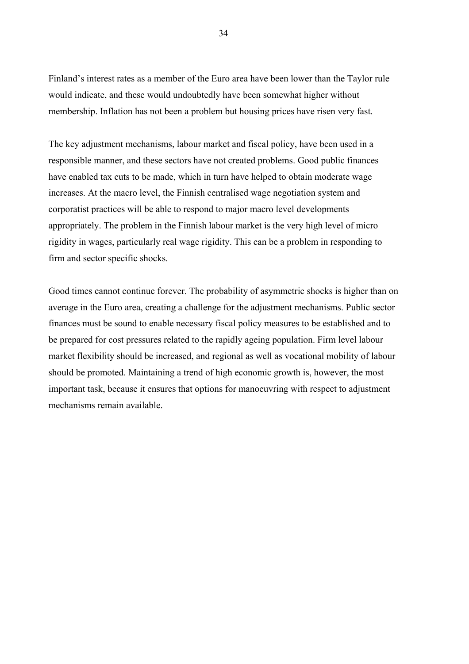Finland's interest rates as a member of the Euro area have been lower than the Taylor rule would indicate, and these would undoubtedly have been somewhat higher without membership. Inflation has not been a problem but housing prices have risen very fast.

The key adjustment mechanisms, labour market and fiscal policy, have been used in a responsible manner, and these sectors have not created problems. Good public finances have enabled tax cuts to be made, which in turn have helped to obtain moderate wage increases. At the macro level, the Finnish centralised wage negotiation system and corporatist practices will be able to respond to major macro level developments appropriately. The problem in the Finnish labour market is the very high level of micro rigidity in wages, particularly real wage rigidity. This can be a problem in responding to firm and sector specific shocks.

Good times cannot continue forever. The probability of asymmetric shocks is higher than on average in the Euro area, creating a challenge for the adjustment mechanisms. Public sector finances must be sound to enable necessary fiscal policy measures to be established and to be prepared for cost pressures related to the rapidly ageing population. Firm level labour market flexibility should be increased, and regional as well as vocational mobility of labour should be promoted. Maintaining a trend of high economic growth is, however, the most important task, because it ensures that options for manoeuvring with respect to adjustment mechanisms remain available.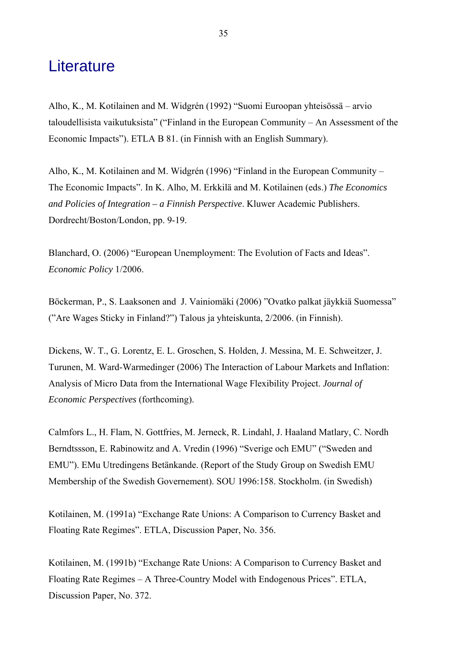### **Literature**

Alho, K., M. Kotilainen and M. Widgrén (1992) "Suomi Euroopan yhteisössä – arvio taloudellisista vaikutuksista" ("Finland in the European Community – An Assessment of the Economic Impacts"). ETLA B 81. (in Finnish with an English Summary).

Alho, K., M. Kotilainen and M. Widgrén (1996) "Finland in the European Community – The Economic Impacts". In K. Alho, M. Erkkilä and M. Kotilainen (eds.) *The Economics and Policies of Integration – a Finnish Perspective*. Kluwer Academic Publishers. Dordrecht/Boston/London, pp. 9-19.

Blanchard, O. (2006) "European Unemployment: The Evolution of Facts and Ideas". *Economic Policy* 1/2006.

Böckerman, P., S. Laaksonen and J. Vainiomäki (2006) "Ovatko palkat jäykkiä Suomessa" ("Are Wages Sticky in Finland?") Talous ja yhteiskunta, 2/2006. (in Finnish).

Dickens, W. T., G. Lorentz, E. L. Groschen, S. Holden, J. Messina, M. E. Schweitzer, J. Turunen, M. Ward-Warmedinger (2006) The Interaction of Labour Markets and Inflation: Analysis of Micro Data from the International Wage Flexibility Project. *Journal of Economic Perspectives* (forthcoming).

Calmfors L., H. Flam, N. Gottfries, M. Jerneck, R. Lindahl, J. Haaland Matlary, C. Nordh Berndtssson, E. Rabinowitz and A. Vredin (1996) "Sverige och EMU" ("Sweden and EMU"). EMu Utredingens Betänkande. (Report of the Study Group on Swedish EMU Membership of the Swedish Governement). SOU 1996:158. Stockholm. (in Swedish)

Kotilainen, M. (1991a) "Exchange Rate Unions: A Comparison to Currency Basket and Floating Rate Regimes". ETLA, Discussion Paper, No. 356.

Kotilainen, M. (1991b) "Exchange Rate Unions: A Comparison to Currency Basket and Floating Rate Regimes – A Three-Country Model with Endogenous Prices". ETLA, Discussion Paper, No. 372.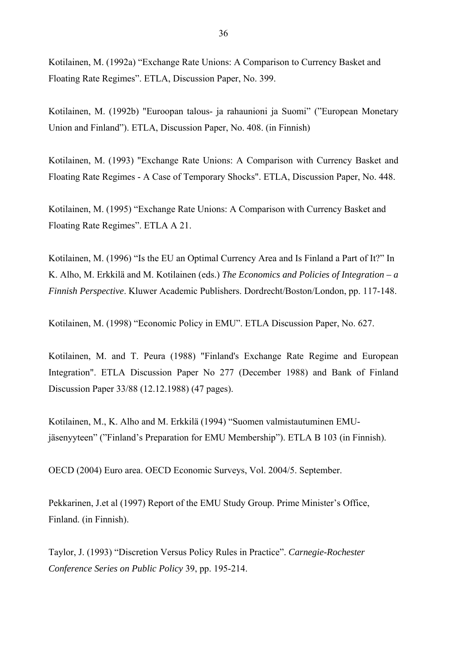Kotilainen, M. (1992a) "Exchange Rate Unions: A Comparison to Currency Basket and Floating Rate Regimes". ETLA, Discussion Paper, No. 399.

Kotilainen, M. (1992b) "Euroopan talous- ja rahaunioni ja Suomi" ("European Monetary Union and Finland"). ETLA, Discussion Paper, No. 408. (in Finnish)

Kotilainen, M. (1993) "Exchange Rate Unions: A Comparison with Currency Basket and Floating Rate Regimes - A Case of Temporary Shocks". ETLA, Discussion Paper, No. 448.

Kotilainen, M. (1995) "Exchange Rate Unions: A Comparison with Currency Basket and Floating Rate Regimes". ETLA A 21.

Kotilainen, M. (1996) "Is the EU an Optimal Currency Area and Is Finland a Part of It?" In K. Alho, M. Erkkilä and M. Kotilainen (eds.) *The Economics and Policies of Integration – a Finnish Perspective*. Kluwer Academic Publishers. Dordrecht/Boston/London, pp. 117-148.

Kotilainen, M. (1998) "Economic Policy in EMU". ETLA Discussion Paper, No. 627.

Kotilainen, M. and T. Peura (1988) "Finland's Exchange Rate Regime and European Integration". ETLA Discussion Paper No 277 (December 1988) and Bank of Finland Discussion Paper 33/88 (12.12.1988) (47 pages).

Kotilainen, M., K. Alho and M. Erkkilä (1994) "Suomen valmistautuminen EMUjäsenyyteen" ("Finland's Preparation for EMU Membership"). ETLA B 103 (in Finnish).

OECD (2004) Euro area. OECD Economic Surveys, Vol. 2004/5. September.

Pekkarinen, J.et al (1997) Report of the EMU Study Group. Prime Minister's Office, Finland. (in Finnish).

Taylor, J. (1993) "Discretion Versus Policy Rules in Practice". *Carnegie-Rochester Conference Series on Public Policy* 39, pp. 195-214.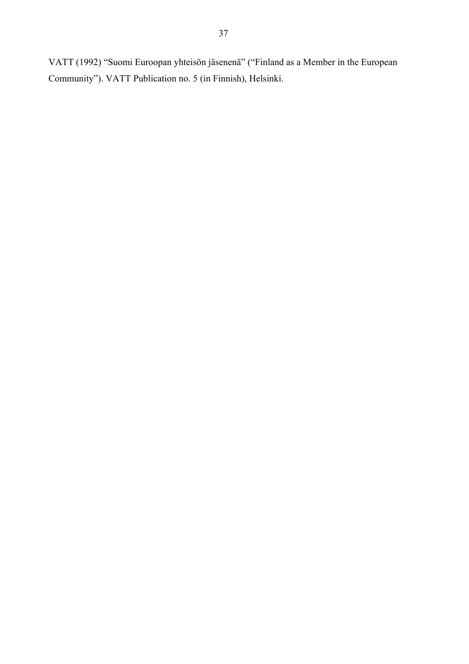VATT (1992) "Suomi Euroopan yhteisön jäsenenä" ("Finland as a Member in the European Community"). VATT Publication no. 5 (in Finnish), Helsinki.